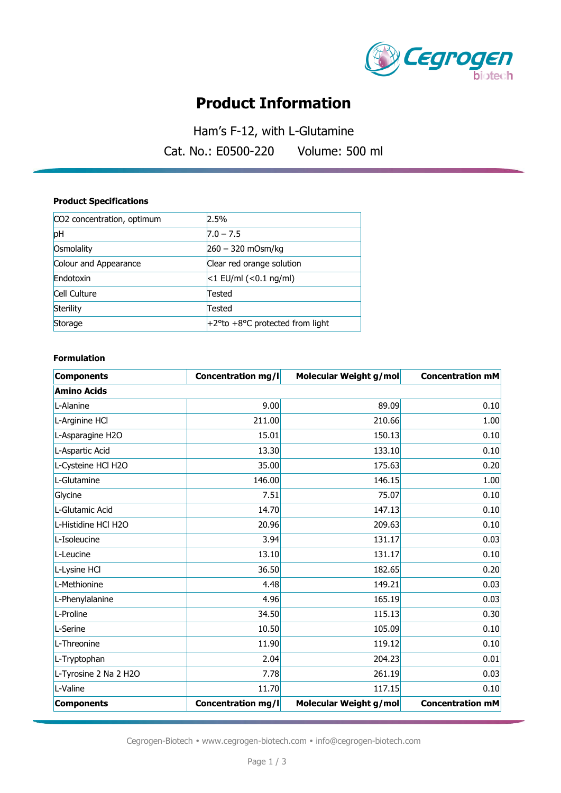

# **Product Information**

Ham's F-12, with L-Glutamine Cat. No.: E0500-220 Volume: 500 ml

#### **Product Specifications**

| CO2 concentration, optimum | 2.5%                               |
|----------------------------|------------------------------------|
| pH                         | $7.0 - 7.5$                        |
| Osmolality                 | $260 - 320$ mOsm/kg                |
| Colour and Appearance      | Clear red orange solution          |
| Endotoxin                  | $<$ 1 EU/ml (<0.1 ng/ml)           |
| Cell Culture               | Tested                             |
| Sterility                  | Tested                             |
| Storage                    | $+2$ °to +8°C protected from light |

#### **Formulation**

| <b>Components</b>     | <b>Concentration mg/l</b> | Molecular Weight g/mol | <b>Concentration mM</b> |  |  |
|-----------------------|---------------------------|------------------------|-------------------------|--|--|
| <b>Amino Acids</b>    |                           |                        |                         |  |  |
| L-Alanine             | 9.00                      | 89.09                  | 0.10                    |  |  |
| L-Arginine HCl        | 211.00                    | 210.66                 | 1.00                    |  |  |
| L-Asparagine H2O      | 15.01                     | 150.13                 | 0.10                    |  |  |
| L-Aspartic Acid       | 13.30                     | 133.10                 | 0.10                    |  |  |
| L-Cysteine HCl H2O    | 35.00                     | 175.63                 | 0.20                    |  |  |
| L-Glutamine           | 146.00                    | 146.15                 | 1.00                    |  |  |
| Glycine               | 7.51                      | 75.07                  | 0.10                    |  |  |
| L-Glutamic Acid       | 14.70                     | 147.13                 | 0.10                    |  |  |
| L-Histidine HCl H2O   | 20.96                     | 209.63                 | 0.10                    |  |  |
| L-Isoleucine          | 3.94                      | 131.17                 | 0.03                    |  |  |
| L-Leucine             | 13.10                     | 131.17                 | 0.10                    |  |  |
| L-Lysine HCl          | 36.50                     | 182.65                 | 0.20                    |  |  |
| L-Methionine          | 4.48                      | 149.21                 | 0.03                    |  |  |
| L-Phenylalanine       | 4.96                      | 165.19                 | 0.03                    |  |  |
| L-Proline             | 34.50                     | 115.13                 | 0.30                    |  |  |
| L-Serine              | 10.50                     | 105.09                 | 0.10                    |  |  |
| L-Threonine           | 11.90                     | 119.12                 | 0.10                    |  |  |
| L-Tryptophan          | 2.04                      | 204.23                 | 0.01                    |  |  |
| L-Tyrosine 2 Na 2 H2O | 7.78                      | 261.19                 | 0.03                    |  |  |
| L-Valine              | 11.70                     | 117.15                 | 0.10                    |  |  |
| <b>Components</b>     | <b>Concentration mg/l</b> | Molecular Weight g/mol | <b>Concentration mM</b> |  |  |

Cegrogen-Biotech • www.cegrogen-biotech.com • info@cegrogen-biotech.com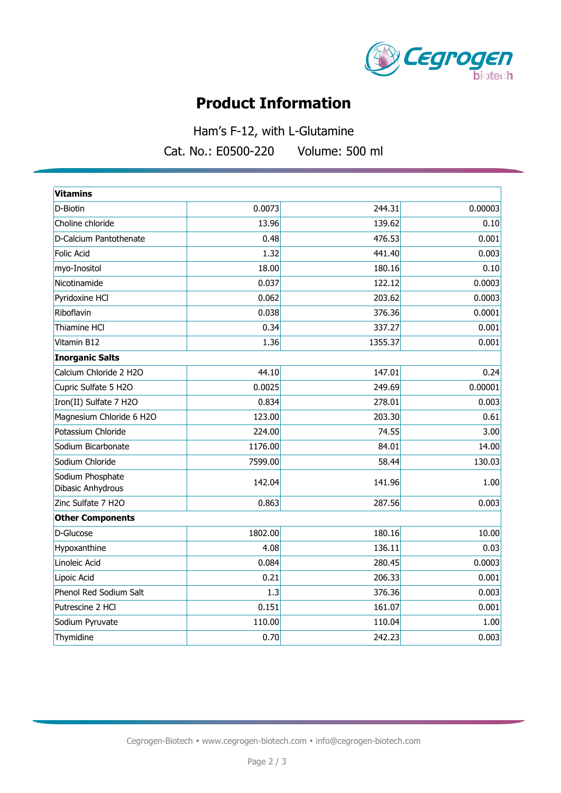

# **Product Information**

Ham's F-12, with L-Glutamine Cat. No.: E0500-220 Volume: 500 ml

| 00-220 | Volume: 500 m |  |
|--------|---------------|--|
|        |               |  |

| <b>Vitamins</b>                       |         |         |         |  |  |
|---------------------------------------|---------|---------|---------|--|--|
| D-Biotin                              | 0.0073  | 244.31  | 0.00003 |  |  |
| Choline chloride                      | 13.96   | 139.62  | 0.10    |  |  |
| D-Calcium Pantothenate                | 0.48    | 476.53  | 0.001   |  |  |
| Folic Acid                            | 1.32    | 441.40  | 0.003   |  |  |
| myo-Inositol                          | 18.00   | 180.16  | 0.10    |  |  |
| Nicotinamide                          | 0.037   | 122.12  | 0.0003  |  |  |
| Pyridoxine HCl                        | 0.062   | 203.62  | 0.0003  |  |  |
| Riboflavin                            | 0.038   | 376.36  | 0.0001  |  |  |
| Thiamine HCl                          | 0.34    | 337.27  | 0.001   |  |  |
| Vitamin B12                           | 1.36    | 1355.37 | 0.001   |  |  |
| <b>Inorganic Salts</b>                |         |         |         |  |  |
| Calcium Chloride 2 H2O                | 44.10   | 147.01  | 0.24    |  |  |
| Cupric Sulfate 5 H2O                  | 0.0025  | 249.69  | 0.00001 |  |  |
| Iron(II) Sulfate 7 H2O                | 0.834   | 278.01  | 0.003   |  |  |
| Magnesium Chloride 6 H2O              | 123.00  | 203.30  | 0.61    |  |  |
| Potassium Chloride                    | 224.00  | 74.55   | 3.00    |  |  |
| Sodium Bicarbonate                    | 1176.00 | 84.01   | 14.00   |  |  |
| Sodium Chloride                       | 7599.00 | 58.44   | 130.03  |  |  |
| Sodium Phosphate<br>Dibasic Anhydrous | 142.04  | 141.96  | 1.00    |  |  |
| Zinc Sulfate 7 H2O                    | 0.863   | 287.56  | 0.003   |  |  |
| <b>Other Components</b>               |         |         |         |  |  |
| D-Glucose                             | 1802.00 | 180.16  | 10.00   |  |  |
| Hypoxanthine                          | 4.08    | 136.11  | 0.03    |  |  |
| Linoleic Acid                         | 0.084   | 280.45  | 0.0003  |  |  |
| Lipoic Acid                           | 0.21    | 206.33  | 0.001   |  |  |
| Phenol Red Sodium Salt                | 1.3     | 376.36  | 0.003   |  |  |
| Putrescine 2 HCl                      | 0.151   | 161.07  | 0.001   |  |  |
| Sodium Pyruvate                       | 110.00  | 110.04  | 1.00    |  |  |
| Thymidine                             | 0.70    | 242.23  | 0.003   |  |  |